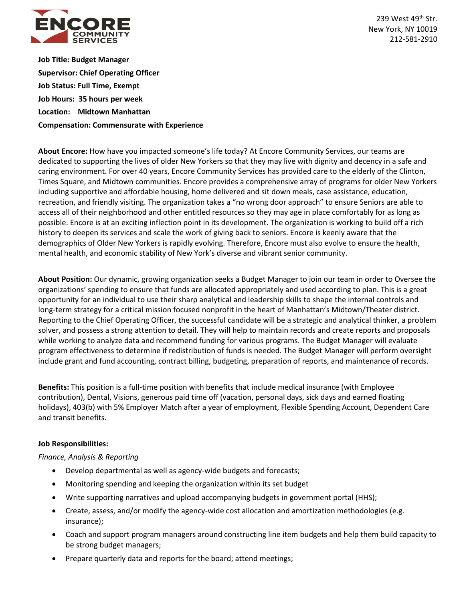

239 West 49<sup>th</sup> Str. New York, NY 10019 212-581-2910

**Job Title: Budget Manager Supervisor: Chief Operating Officer Job Status: Full Time, Exempt Job Hours: 35 hours per week Location: Midtown Manhattan Compensation: Commensurate with Experience**

**About Encore:** How have you impacted someone's life today? At Encore Community Services, our teams are dedicated to supporting the lives of older New Yorkers so that they may live with dignity and decency in a safe and caring environment. For over 40 years, Encore Community Services has provided care to the elderly of the Clinton, Times Square, and Midtown communities. Encore provides a comprehensive array of programs for older New Yorkers including supportive and affordable housing, home delivered and sit down meals, case assistance, education, recreation, and friendly visiting. The organization takes a "no wrong door approach" to ensure Seniors are able to access all of their neighborhood and other entitled resources so they may age in place comfortably for as long as possible. Encore is at an exciting inflection point in its development. The organization is working to build off a rich history to deepen its services and scale the work of giving back to seniors. Encore is keenly aware that the demographics of Older New Yorkers is rapidly evolving. Therefore, Encore must also evolve to ensure the health, mental health, and economic stability of New York's diverse and vibrant senior community.

**About Position:** Our dynamic, growing organization seeks a Budget Manager to join our team in order to Oversee the organizations' spending to ensure that funds are allocated appropriately and used according to plan. This is a great opportunity for an individual to use their sharp analytical and leadership skills to shape the internal controls and long-term strategy for a critical mission focused nonprofit in the heart of Manhattan's Midtown/Theater district. Reporting to the Chief Operating Officer, the successful candidate will be a strategic and analytical thinker, a problem solver, and possess a strong attention to detail. They will help to maintain records and create reports and proposals while working to analyze data and recommend funding for various programs. The Budget Manager will evaluate program effectiveness to determine if redistribution of funds is needed. The Budget Manager will perform oversight include grant and fund accounting, contract billing, budgeting, preparation of reports, and maintenance of records.

**Benefits:** This position is a full-time position with benefits that include medical insurance (with Employee contribution), Dental, Visions, generous paid time off (vacation, personal days, sick days and earned floating holidays), 403(b) with 5% Employer Match after a year of employment, Flexible Spending Account, Dependent Care and transit benefits.

# **Job Responsibilities:**

### *Finance, Analysis & Reporting*

- Develop departmental as well as agency-wide budgets and forecasts;
- Monitoring spending and keeping the organization within its set budget
- Write supporting narratives and upload accompanying budgets in government portal (HHS);
- Create, assess, and/or modify the agency-wide cost allocation and amortization methodologies (e.g. insurance);
- Coach and support program managers around constructing line item budgets and help them build capacity to be strong budget managers;
- Prepare quarterly data and reports for the board; attend meetings;